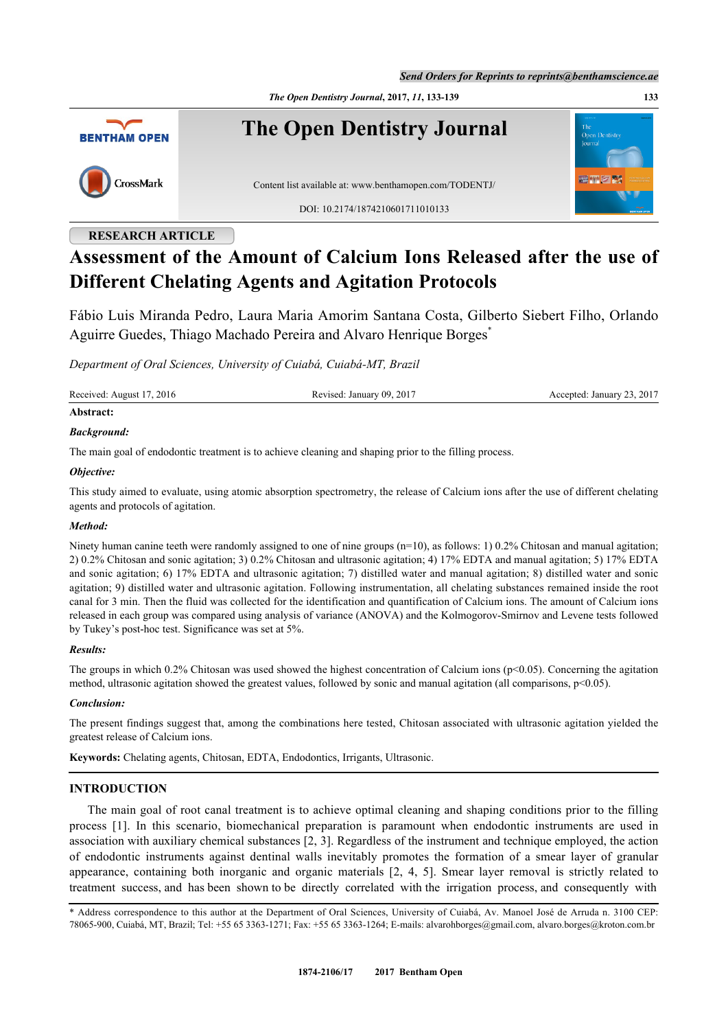*Send Orders for Reprints to reprints@benthamscience.ae*

*The Open Dentistry Journal***, 2017,** *11***, 133-139 133**



# **RESEARCH ARTICLE**

# **Assessment of the Amount of Calcium Ions Released after the use of Different Chelating Agents and Agitation Protocols**

Fábio Luis Miranda Pedro, Laura Maria Amorim Santana Costa, Gilberto Siebert Filho, Orlando Aguirre Guedes, Thiago Machado Pereira and Alvaro Henrique Borges[\\*](#page-0-0)

*Department of Oral Sciences, University of Cuiabá, Cuiabá-MT, Brazil*

Received: August 17, 2016 Revised: January 09, 2017 Accepted: January 23, 2017

# **Abstract:**

## *Background:*

The main goal of endodontic treatment is to achieve cleaning and shaping prior to the filling process.

#### *Objective:*

This study aimed to evaluate, using atomic absorption spectrometry, the release of Calcium ions after the use of different chelating agents and protocols of agitation.

#### *Method:*

Ninety human canine teeth were randomly assigned to one of nine groups  $(n=10)$ , as follows: 1) 0.2% Chitosan and manual agitation; 2) 0.2% Chitosan and sonic agitation; 3) 0.2% Chitosan and ultrasonic agitation; 4) 17% EDTA and manual agitation; 5) 17% EDTA and sonic agitation; 6) 17% EDTA and ultrasonic agitation; 7) distilled water and manual agitation; 8) distilled water and sonic agitation; 9) distilled water and ultrasonic agitation. Following instrumentation, all chelating substances remained inside the root canal for 3 min. Then the fluid was collected for the identification and quantification of Calcium ions. The amount of Calcium ions released in each group was compared using analysis of variance (ANOVA) and the Kolmogorov-Smirnov and Levene tests followed by Tukey's post-hoc test. Significance was set at 5%.

#### *Results:*

The groups in which 0.2% Chitosan was used showed the highest concentration of Calcium ions ( $p<0.05$ ). Concerning the agitation method, ultrasonic agitation showed the greatest values, followed by sonic and manual agitation (all comparisons, p<0.05).

#### *Conclusion:*

The present findings suggest that, among the combinations here tested, Chitosan associated with ultrasonic agitation yielded the greatest release of Calcium ions.

**Keywords:** Chelating agents, Chitosan, EDTA, Endodontics, Irrigants, Ultrasonic.

# **INTRODUCTION**

The main goal of root canal treatment is to achieve optimal cleaning and shaping conditions prior to the filling process [\[1\]](#page-4-0). In this scenario, biomechanical preparation is paramount when endodontic instruments are used in association with auxiliary chemical substances [[2,](#page-4-1) [3](#page-4-2)]. Regardless of the instrument and technique employed, the action of endodontic instruments against dentinal walls inevitably promotes the formation of a smear layer of granular appearance, containing both inorganic and organic materials[[2](#page-4-1), [4](#page-4-3), [5](#page-4-4)]. Smear layer removal is strictly related to treatment success, and has been shown to be directly correlated with the irrigation process, and consequently with

<span id="page-0-0"></span>\* Address correspondence to this author at the Department of Oral Sciences, University of Cuiabá, Av. Manoel José de Arruda n. 3100 CEP: 78065-900, Cuiabá, MT, Brazil; Tel: +55 65 3363-1271; Fax: +55 65 3363-1264; E-mails: [alvarohborges@gmail.com,](mailto:alvarohborges@gmail.com) [alvaro.borges@kroton.com.br](mailto:alvaro.borges@kroton.com.br)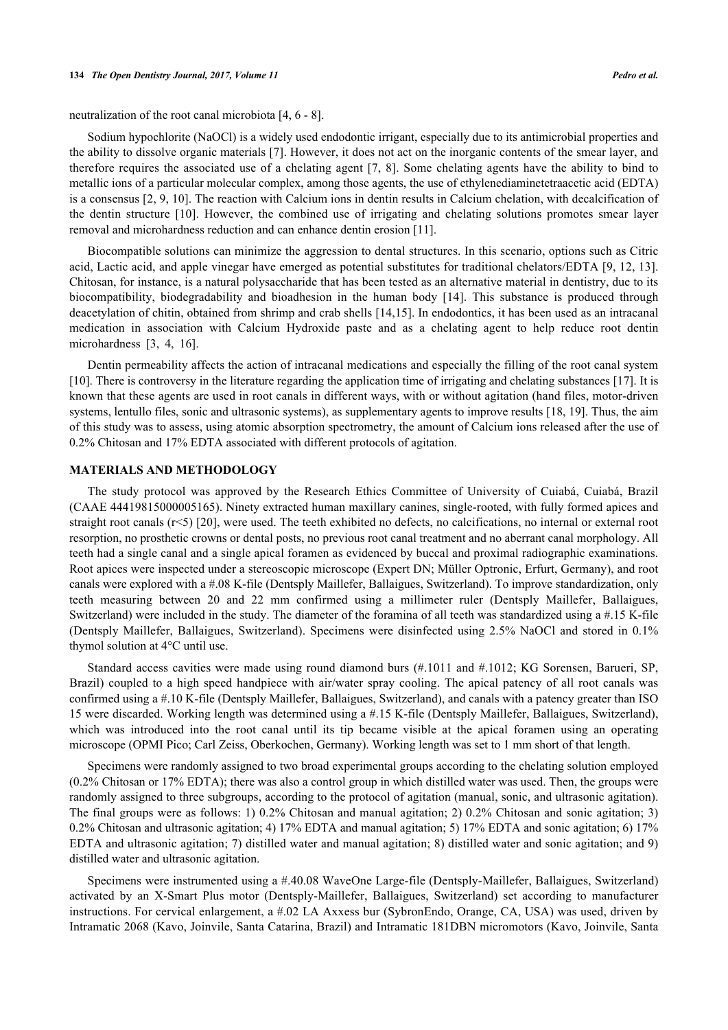neutralization of the root canal microbiota [\[4](#page-4-3), [6](#page-4-5) - [8](#page-4-6)].

Sodium hypochlorite (NaOCl) is a widely used endodontic irrigant, especially due to its antimicrobial properties and the ability to dissolve organic materials [[7\]](#page-4-7). However, it does not act on the inorganic contents of the smear layer, and therefore requires the associated use of a chelating agent [\[7](#page-4-7), [8\]](#page-4-6). Some chelating agents have the ability to bind to metallic ions of a particular molecular complex, among those agents, the use of ethylenediaminetetraacetic acid (EDTA) is a consensus [\[2](#page-4-1), [9,](#page-4-8) [10\]](#page-4-9). The reaction with Calcium ions in dentin results in Calcium chelation, with decalcification of the dentin structure[[10\]](#page-4-9). However, the combined use of irrigating and chelating solutions promotes smear layer removal and microhardness reduction and can enhance dentin erosion [\[11](#page-4-10)].

Biocompatible solutions can minimize the aggression to dental structures. In this scenario, options such as Citric acid, Lactic acid, and apple vinegar have emerged as potential substitutes for traditional chelators/EDTA [[9](#page-4-8), [12,](#page-4-11) [13\]](#page-4-12). Chitosan, for instance, is a natural polysaccharide that has been tested as an alternative material in dentistry, due to its biocompatibility, biodegradability and bioadhesion in the human body[[14\]](#page-5-0). This substance is produced through deacetylation of chitin, obtained from shrimp and crab shells [[14,](#page-5-0)[15](#page-5-1)]. In endodontics, it has been used as an intracanal medication in association with Calcium Hydroxide paste and as a chelating agent to help reduce root dentin microhardness[[3,](#page-4-2) [4,](#page-4-3) [16\]](#page-5-2).

Dentin permeability affects the action of intracanal medications and especially the filling of the root canal system [\[10](#page-4-9)]. There is controversy in the literature regarding the application time of irrigating and chelating substances [[17\]](#page-5-3). It is known that these agents are used in root canals in different ways, with or without agitation (hand files, motor-driven systems, lentullo files, sonic and ultrasonic systems), as supplementary agents to improve results [\[18](#page-5-4), [19](#page-5-5)]. Thus, the aim of this study was to assess, using atomic absorption spectrometry, the amount of Calcium ions released after the use of 0.2% Chitosan and 17% EDTA associated with different protocols of agitation.

#### **MATERIALS AND METHODOLOGY**

The study protocol was approved by the Research Ethics Committee of University of Cuiabá, Cuiabá, Brazil (CAAE 44419815000005165). Ninety extracted human maxillary canines, single-rooted, with fully formed apices and straight root canals  $(r<5)$  [[20](#page-5-6)], were used. The teeth exhibited no defects, no calcifications, no internal or external root resorption, no prosthetic crowns or dental posts, no previous root canal treatment and no aberrant canal morphology. All teeth had a single canal and a single apical foramen as evidenced by buccal and proximal radiographic examinations. Root apices were inspected under a stereoscopic microscope (Expert DN; Müller Optronic, Erfurt, Germany), and root canals were explored with a #.08 K-file (Dentsply Maillefer, Ballaigues, Switzerland). To improve standardization, only teeth measuring between 20 and 22 mm confirmed using a millimeter ruler (Dentsply Maillefer, Ballaigues, Switzerland) were included in the study. The diameter of the foramina of all teeth was standardized using a #.15 K-file (Dentsply Maillefer, Ballaigues, Switzerland). Specimens were disinfected using 2.5% NaOCl and stored in 0.1% thymol solution at 4°C until use.

Standard access cavities were made using round diamond burs (#.1011 and #.1012; KG Sorensen, Barueri, SP, Brazil) coupled to a high speed handpiece with air/water spray cooling. The apical patency of all root canals was confirmed using a #.10 K-file (Dentsply Maillefer, Ballaigues, Switzerland), and canals with a patency greater than ISO 15 were discarded. Working length was determined using a #.15 K-file (Dentsply Maillefer, Ballaigues, Switzerland), which was introduced into the root canal until its tip became visible at the apical foramen using an operating microscope (OPMI Pico; Carl Zeiss, Oberkochen, Germany). Working length was set to 1 mm short of that length.

Specimens were randomly assigned to two broad experimental groups according to the chelating solution employed (0.2% Chitosan or 17% EDTA); there was also a control group in which distilled water was used. Then, the groups were randomly assigned to three subgroups, according to the protocol of agitation (manual, sonic, and ultrasonic agitation). The final groups were as follows: 1) 0.2% Chitosan and manual agitation; 2) 0.2% Chitosan and sonic agitation; 3) 0.2% Chitosan and ultrasonic agitation; 4) 17% EDTA and manual agitation; 5) 17% EDTA and sonic agitation; 6) 17% EDTA and ultrasonic agitation; 7) distilled water and manual agitation; 8) distilled water and sonic agitation; and 9) distilled water and ultrasonic agitation.

Specimens were instrumented using a #.40.08 WaveOne Large-file (Dentsply-Maillefer, Ballaigues, Switzerland) activated by an X-Smart Plus motor (Dentsply-Maillefer, Ballaigues, Switzerland) set according to manufacturer instructions. For cervical enlargement, a #.02 LA Axxess bur (SybronEndo, Orange, CA, USA) was used, driven by Intramatic 2068 (Kavo, Joinvile, Santa Catarina, Brazil) and Intramatic 181DBN micromotors (Kavo, Joinvile, Santa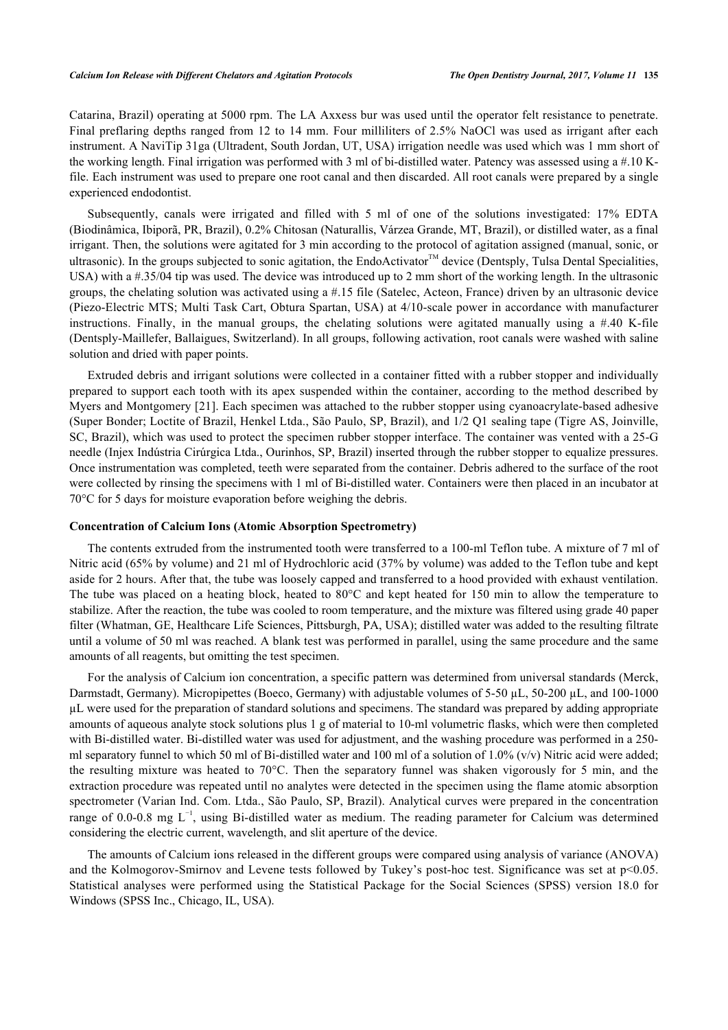Catarina, Brazil) operating at 5000 rpm. The LA Axxess bur was used until the operator felt resistance to penetrate. Final preflaring depths ranged from 12 to 14 mm. Four milliliters of 2.5% NaOCl was used as irrigant after each instrument. A NaviTip 31ga (Ultradent, South Jordan, UT, USA) irrigation needle was used which was 1 mm short of the working length. Final irrigation was performed with 3 ml of bi-distilled water. Patency was assessed using a #.10 Kfile. Each instrument was used to prepare one root canal and then discarded. All root canals were prepared by a single experienced endodontist.

Subsequently, canals were irrigated and filled with 5 ml of one of the solutions investigated: 17% EDTA (Biodinâmica, Ibiporã, PR, Brazil), 0.2% Chitosan (Naturallis, Várzea Grande, MT, Brazil), or distilled water, as a final irrigant. Then, the solutions were agitated for 3 min according to the protocol of agitation assigned (manual, sonic, or ultrasonic). In the groups subjected to sonic agitation, the EndoActivator<sup>™</sup> device (Dentsply, Tulsa Dental Specialities, USA) with a #.35/04 tip was used. The device was introduced up to 2 mm short of the working length. In the ultrasonic groups, the chelating solution was activated using a #.15 file (Satelec, Acteon, France) driven by an ultrasonic device (Piezo-Electric MTS; Multi Task Cart, Obtura Spartan, USA) at 4/10-scale power in accordance with manufacturer instructions. Finally, in the manual groups, the chelating solutions were agitated manually using a  $\#$ .40 K-file (Dentsply-Maillefer, Ballaigues, Switzerland). In all groups, following activation, root canals were washed with saline solution and dried with paper points.

Extruded debris and irrigant solutions were collected in a container fitted with a rubber stopper and individually prepared to support each tooth with its apex suspended within the container, according to the method described by Myers and Montgomery [[21](#page-5-7)]. Each specimen was attached to the rubber stopper using cyanoacrylate-based adhesive (Super Bonder; Loctite of Brazil, Henkel Ltda., São Paulo, SP, Brazil), and 1/2 Q1 sealing tape (Tigre AS, Joinville, SC, Brazil), which was used to protect the specimen rubber stopper interface. The container was vented with a 25-G needle (Injex Indústria Cirúrgica Ltda., Ourinhos, SP, Brazil) inserted through the rubber stopper to equalize pressures. Once instrumentation was completed, teeth were separated from the container. Debris adhered to the surface of the root were collected by rinsing the specimens with 1 ml of Bi-distilled water. Containers were then placed in an incubator at 70°C for 5 days for moisture evaporation before weighing the debris.

#### **Concentration of Calcium Ions (Atomic Absorption Spectrometry)**

The contents extruded from the instrumented tooth were transferred to a 100-ml Teflon tube. A mixture of 7 ml of Nitric acid (65% by volume) and 21 ml of Hydrochloric acid (37% by volume) was added to the Teflon tube and kept aside for 2 hours. After that, the tube was loosely capped and transferred to a hood provided with exhaust ventilation. The tube was placed on a heating block, heated to 80°C and kept heated for 150 min to allow the temperature to stabilize. After the reaction, the tube was cooled to room temperature, and the mixture was filtered using grade 40 paper filter (Whatman, GE, Healthcare Life Sciences, Pittsburgh, PA, USA); distilled water was added to the resulting filtrate until a volume of 50 ml was reached. A blank test was performed in parallel, using the same procedure and the same amounts of all reagents, but omitting the test specimen.

For the analysis of Calcium ion concentration, a specific pattern was determined from universal standards (Merck, Darmstadt, Germany). Micropipettes (Boeco, Germany) with adjustable volumes of 5-50 µL, 50-200 µL, and 100-1000 µL were used for the preparation of standard solutions and specimens. The standard was prepared by adding appropriate amounts of aqueous analyte stock solutions plus 1 g of material to 10-ml volumetric flasks, which were then completed with Bi-distilled water. Bi-distilled water was used for adjustment, and the washing procedure was performed in a 250 ml separatory funnel to which 50 ml of Bi-distilled water and 100 ml of a solution of  $1.0\%$  (v/v) Nitric acid were added; the resulting mixture was heated to 70°C. Then the separatory funnel was shaken vigorously for 5 min, and the extraction procedure was repeated until no analytes were detected in the specimen using the flame atomic absorption spectrometer (Varian Ind. Com. Ltda., São Paulo, SP, Brazil). Analytical curves were prepared in the concentration range of 0.0-0.8 mg L−1, using Bi-distilled water as medium. The reading parameter for Calcium was determined considering the electric current, wavelength, and slit aperture of the device.

The amounts of Calcium ions released in the different groups were compared using analysis of variance (ANOVA) and the Kolmogorov-Smirnov and Levene tests followed by Tukey's post-hoc test. Significance was set at p<0.05. Statistical analyses were performed using the Statistical Package for the Social Sciences (SPSS) version 18.0 for Windows (SPSS Inc., Chicago, IL, USA).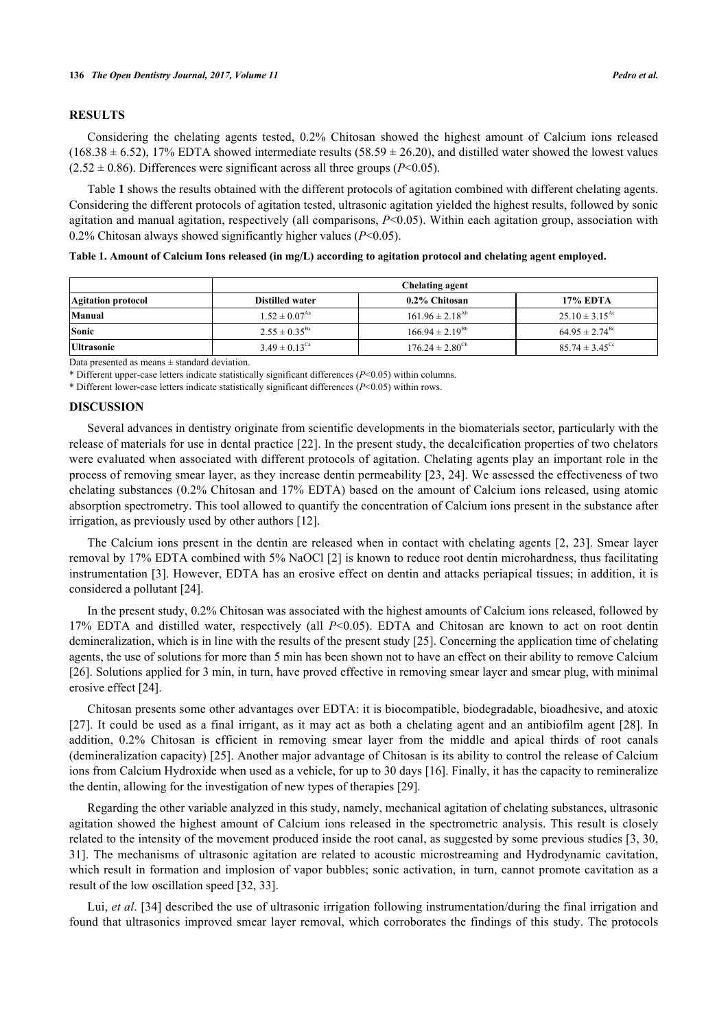## **RESULTS**

Considering the chelating agents tested, 0.2% Chitosan showed the highest amount of Calcium ions released  $(168.38 \pm 6.52)$ , 17% EDTA showed intermediate results  $(58.59 \pm 26.20)$ , and distilled water showed the lowest values  $(2.52 \pm 0.86)$ . Differences were significant across all three groups ( $P \le 0.05$ ).

Table **[1](#page-3-0)** shows the results obtained with the different protocols of agitation combined with different chelating agents. Considering the different protocols of agitation tested, ultrasonic agitation yielded the highest results, followed by sonic agitation and manual agitation, respectively (all comparisons, *P*<0.05). Within each agitation group, association with 0.2% Chitosan always showed significantly higher values (*P*<0.05).

| Chelating agent                                          |  |                               |                    |
|----------------------------------------------------------|--|-------------------------------|--------------------|
| <b>17% EDTA</b><br>0.2% Chitosan                         |  | <b>Distilled water</b>        | Agitation protocol |
| $25.10 \pm 3.15^{\text{Ac}}$<br>$161.96 \pm 2.18^{Ab}$   |  | $1.52 \pm 0.07^{\text{Aa}}$   | Manual             |
| $166.94 \pm 2.19^{Bb}$<br>$64.95 \pm 2.74$ <sup>Bc</sup> |  | $2.55 \pm 0.35^{Ba}$          | Sonic              |
| $176.24 \pm 2.80^{\rm cb}$<br>$85.74 \pm 3.45^{\circ}$   |  | $3.49 \pm 0.13$ <sup>Ca</sup> |                    |
|                                                          |  | .                             | <b>Ultrasonic</b>  |

<span id="page-3-0"></span>**Table 1. Amount of Calcium Ions released (in mg/L) according to agitation protocol and chelating agent employed.**

Data presented as means  $\pm$  standard deviation.

\* Different upper-case letters indicate statistically significant differences (*P*<0.05) within columns.

\* Different lower-case letters indicate statistically significant differences (*P*<0.05) within rows.

#### **DISCUSSION**

Several advances in dentistry originate from scientific developments in the biomaterials sector, particularly with the release of materials for use in dental practice [[22\]](#page-5-8). In the present study, the decalcification properties of two chelators were evaluated when associated with different protocols of agitation. Chelating agents play an important role in the process of removing smear layer, as they increase dentin permeability [[23](#page-5-9), [24\]](#page-5-10). We assessed the effectiveness of two chelating substances (0.2% Chitosan and 17% EDTA) based on the amount of Calcium ions released, using atomic absorption spectrometry. This tool allowed to quantify the concentration of Calcium ions present in the substance after irrigation, as previously used by other authors [[12\]](#page-4-11).

The Calcium ions present in the dentin are released when in contact with chelating agents [[2,](#page-4-1) [23](#page-5-9)]. Smear layer removal by 17% EDTA combined with 5% NaOCl [\[2](#page-4-1)] is known to reduce root dentin microhardness, thus facilitating instrumentation [[3\]](#page-4-2). However, EDTA has an erosive effect on dentin and attacks periapical tissues; in addition, it is considered a pollutant [[24\]](#page-5-10).

In the present study, 0.2% Chitosan was associated with the highest amounts of Calcium ions released, followed by 17% EDTA and distilled water, respectively (all *P*<0.05). EDTA and Chitosan are known to act on root dentin demineralization, which is in line with the results of the present study [\[25](#page-5-11)]. Concerning the application time of chelating agents, the use of solutions for more than 5 min has been shown not to have an effect on their ability to remove Calcium [[26\]](#page-5-12). Solutions applied for 3 min, in turn, have proved effective in removing smear layer and smear plug, with minimal erosive effect [[24\]](#page-5-10).

Chitosan presents some other advantages over EDTA: it is biocompatible, biodegradable, bioadhesive, and atoxic [[27](#page-5-13)]. It could be used as a final irrigant, as it may act as both a chelating agent and an antibiofilm agent [[28](#page-5-14)]. In addition, 0.2% Chitosan is efficient in removing smear layer from the middle and apical thirds of root canals (demineralization capacity) [\[25\]](#page-5-11). Another major advantage of Chitosan is its ability to control the release of Calcium ions from Calcium Hydroxide when used as a vehicle, for up to 30 days [\[16](#page-5-2)]. Finally, it has the capacity to remineralize the dentin, allowing for the investigation of new types of therapies [\[29](#page-5-15)].

Regarding the other variable analyzed in this study, namely, mechanical agitation of chelating substances, ultrasonic agitation showed the highest amount of Calcium ions released in the spectrometric analysis. This result is closely related to the intensity of the movement produced inside the root canal, as suggested by some previous studies [3, 30, [31](#page-4-2)[\].](#page-5-16) [The](#page-5-17) mechanisms of ultrasonic agitation are related to acoustic microstreaming and Hydrodynamic cavitation, which result in formation and implosion of vapor bubbles; sonic activation, in turn, cannot promote cavitation as a result of the low oscillation speed [\[32](#page-5-18), [33](#page-5-19)].

Lui, *et al.* [\[34](#page-6-0)] described the use of ultrasonic irrigation following instrumentation/during the final irrigation and found that ultrasonics improved smear layer removal, which corroborates the findings of this study. The protocols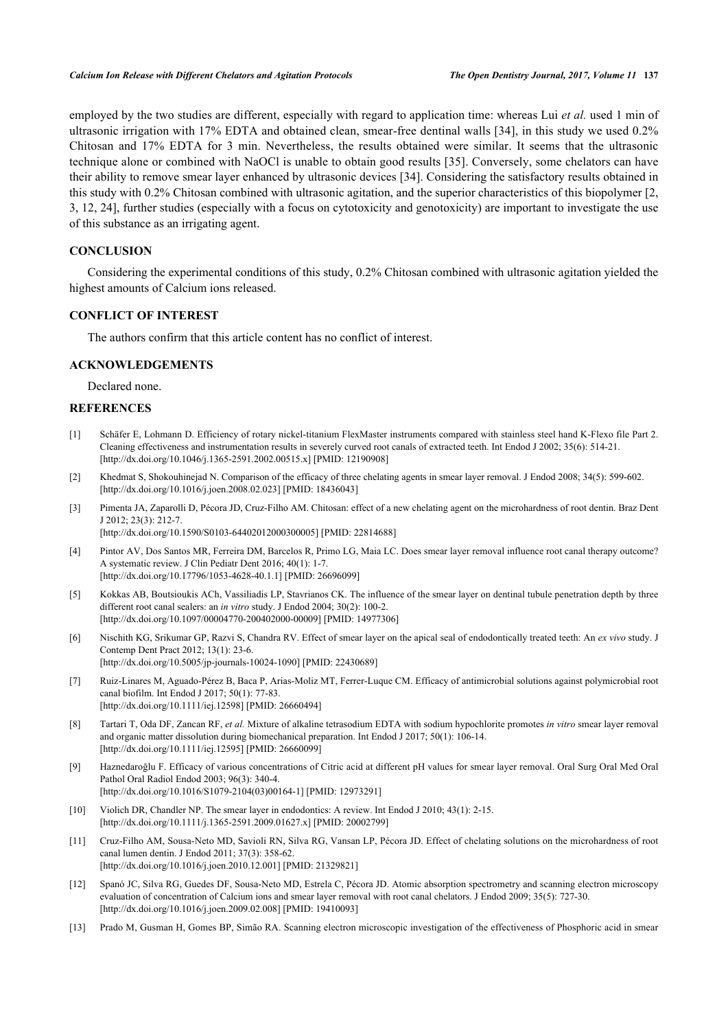employed by the two studies are different, especially with regard to application time: whereas Lui *et al.* used 1 min of ultrasonic irrigation with 17% EDTA and obtained clean, smear-free dentinal walls [[34](#page-6-0)], in this study we used 0.2% Chitosan and 17% EDTA for 3 min. Nevertheless, the results obtained were similar. It seems that the ultrasonic technique alone or combined with NaOCl is unable to obtain good results [[35](#page-6-1)]. Conversely, some chelators can have their ability to remove smear layer enhanced by ultrasonic devices [\[34](#page-6-0)]. Considering the satisfactory results obtained in this study with 0.2% Chitosan combined with ultrasonic agitation, and the superior characteristics of this biopolymer [\[2](#page-4-1), [3,](#page-4-2) [12,](#page-4-11) [24](#page-5-10)], further studies (especially with a focus on cytotoxicity and genotoxicity) are important to investigate the use of this substance as an irrigating agent.

# **CONCLUSION**

Considering the experimental conditions of this study, 0.2% Chitosan combined with ultrasonic agitation yielded the highest amounts of Calcium ions released.

# **CONFLICT OF INTEREST**

The authors confirm that this article content has no conflict of interest.

#### **ACKNOWLEDGEMENTS**

Declared none.

## **REFERENCES**

- <span id="page-4-0"></span>[1] Schäfer E, Lohmann D. Efficiency of rotary nickel-titanium FlexMaster instruments compared with stainless steel hand K-Flexo file Part 2. Cleaning effectiveness and instrumentation results in severely curved root canals of extracted teeth. Int Endod J 2002; 35(6): 514-21. [\[http://dx.doi.org/10.1046/j.1365-2591.2002.00515.x\]](http://dx.doi.org/10.1046/j.1365-2591.2002.00515.x) [PMID: [12190908](http://www.ncbi.nlm.nih.gov/pubmed/12190908)]
- <span id="page-4-1"></span>[2] Khedmat S, Shokouhinejad N. Comparison of the efficacy of three chelating agents in smear layer removal. J Endod 2008; 34(5): 599-602. [\[http://dx.doi.org/10.1016/j.joen.2008.02.023\]](http://dx.doi.org/10.1016/j.joen.2008.02.023) [PMID: [18436043](http://www.ncbi.nlm.nih.gov/pubmed/18436043)]
- <span id="page-4-2"></span>[3] Pimenta JA, Zaparolli D, Pécora JD, Cruz-Filho AM. Chitosan: effect of a new chelating agent on the microhardness of root dentin. Braz Dent J 2012; 23(3): 212-7. [\[http://dx.doi.org/10.1590/S0103-64402012000300005\]](http://dx.doi.org/10.1590/S0103-64402012000300005) [PMID: [22814688](http://www.ncbi.nlm.nih.gov/pubmed/22814688)]
- <span id="page-4-3"></span>[4] Pintor AV, Dos Santos MR, Ferreira DM, Barcelos R, Primo LG, Maia LC. Does smear layer removal influence root canal therapy outcome? A systematic review. J Clin Pediatr Dent 2016; 40(1): 1-7. [\[http://dx.doi.org/10.17796/1053-4628-40.1.1](http://dx.doi.org/10.17796/1053-4628-40.1.1)] [PMID: [26696099\]](http://www.ncbi.nlm.nih.gov/pubmed/26696099)
- <span id="page-4-4"></span>[5] Kokkas AB, Boutsioukis ACh, Vassiliadis LP, Stavrianos CK. The influence of the smear layer on dentinal tubule penetration depth by three different root canal sealers: an *in vitro* study. J Endod 2004; 30(2): 100-2. [\[http://dx.doi.org/10.1097/00004770-200402000-00009](http://dx.doi.org/10.1097/00004770-200402000-00009)] [PMID: [14977306\]](http://www.ncbi.nlm.nih.gov/pubmed/14977306)
- <span id="page-4-5"></span>[6] Nischith KG, Srikumar GP, Razvi S, Chandra RV. Effect of smear layer on the apical seal of endodontically treated teeth: An *ex vivo* study. J Contemp Dent Pract 2012; 13(1): 23-6. [\[http://dx.doi.org/10.5005/jp-journals-10024-1090\]](http://dx.doi.org/10.5005/jp-journals-10024-1090) [PMID: [22430689](http://www.ncbi.nlm.nih.gov/pubmed/22430689)]
- <span id="page-4-7"></span>[7] Ruiz-Linares M, Aguado-Pérez B, Baca P, Arias-Moliz MT, Ferrer-Luque CM. Efficacy of antimicrobial solutions against polymicrobial root canal biofilm. Int Endod J 2017; 50(1): 77-83. [\[http://dx.doi.org/10.1111/iej.12598\]](http://dx.doi.org/10.1111/iej.12598) [PMID: [26660494](http://www.ncbi.nlm.nih.gov/pubmed/26660494)]
- <span id="page-4-6"></span>[8] Tartari T, Oda DF, Zancan RF, *et al.* Mixture of alkaline tetrasodium EDTA with sodium hypochlorite promotes *in vitro* smear layer removal and organic matter dissolution during biomechanical preparation. Int Endod J 2017; 50(1): 106-14. [\[http://dx.doi.org/10.1111/iej.12595\]](http://dx.doi.org/10.1111/iej.12595) [PMID: [26660099](http://www.ncbi.nlm.nih.gov/pubmed/26660099)]
- <span id="page-4-8"></span>[9] Haznedaroğlu F. Efficacy of various concentrations of Citric acid at different pH values for smear layer removal. Oral Surg Oral Med Oral Pathol Oral Radiol Endod 2003; 96(3): 340-4. [\[http://dx.doi.org/10.1016/S1079-2104\(03\)00164-1\]](http://dx.doi.org/10.1016/S1079-2104(03)00164-1) [PMID: [12973291](http://www.ncbi.nlm.nih.gov/pubmed/12973291)]
- <span id="page-4-9"></span>[10] Violich DR, Chandler NP. The smear layer in endodontics: A review. Int Endod J 2010; 43(1): 2-15. [\[http://dx.doi.org/10.1111/j.1365-2591.2009.01627.x\]](http://dx.doi.org/10.1111/j.1365-2591.2009.01627.x) [PMID: [20002799](http://www.ncbi.nlm.nih.gov/pubmed/20002799)]
- <span id="page-4-10"></span>[11] Cruz-Filho AM, Sousa-Neto MD, Savioli RN, Silva RG, Vansan LP, Pécora JD. Effect of chelating solutions on the microhardness of root canal lumen dentin. J Endod 2011; 37(3): 358-62. [\[http://dx.doi.org/10.1016/j.joen.2010.12.001\]](http://dx.doi.org/10.1016/j.joen.2010.12.001) [PMID: [21329821](http://www.ncbi.nlm.nih.gov/pubmed/21329821)]
- <span id="page-4-11"></span>[12] Spanó JC, Silva RG, Guedes DF, Sousa-Neto MD, Estrela C, Pécora JD. Atomic absorption spectrometry and scanning electron microscopy evaluation of concentration of Calcium ions and smear layer removal with root canal chelators. J Endod 2009; 35(5): 727-30. [\[http://dx.doi.org/10.1016/j.joen.2009.02.008\]](http://dx.doi.org/10.1016/j.joen.2009.02.008) [PMID: [19410093](http://www.ncbi.nlm.nih.gov/pubmed/19410093)]
- <span id="page-4-12"></span>[13] Prado M, Gusman H, Gomes BP, Simão RA. Scanning electron microscopic investigation of the effectiveness of Phosphoric acid in smear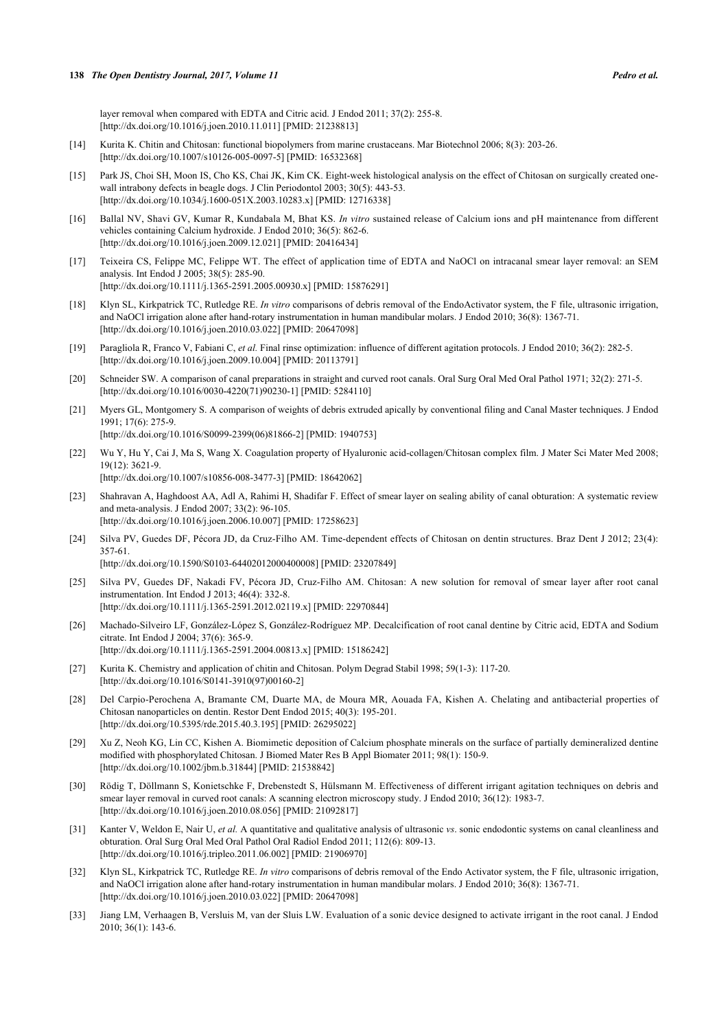layer removal when compared with EDTA and Citric acid. J Endod 2011; 37(2): 255-8. [\[http://dx.doi.org/10.1016/j.joen.2010.11.011\]](http://dx.doi.org/10.1016/j.joen.2010.11.011) [PMID: [21238813](http://www.ncbi.nlm.nih.gov/pubmed/21238813)]

- <span id="page-5-0"></span>[14] Kurita K. Chitin and Chitosan: functional biopolymers from marine crustaceans. Mar Biotechnol 2006; 8(3): 203-26. [\[http://dx.doi.org/10.1007/s10126-005-0097-5\]](http://dx.doi.org/10.1007/s10126-005-0097-5) [PMID: [16532368](http://www.ncbi.nlm.nih.gov/pubmed/16532368)]
- <span id="page-5-1"></span>[15] Park JS, Choi SH, Moon IS, Cho KS, Chai JK, Kim CK. Eight-week histological analysis on the effect of Chitosan on surgically created onewall intrabony defects in beagle dogs. J Clin Periodontol 2003; 30(5): 443-53. [\[http://dx.doi.org/10.1034/j.1600-051X.2003.10283.x](http://dx.doi.org/10.1034/j.1600-051X.2003.10283.x)] [PMID: [12716338](http://www.ncbi.nlm.nih.gov/pubmed/12716338)]
- <span id="page-5-2"></span>[16] Ballal NV, Shavi GV, Kumar R, Kundabala M, Bhat KS. *In vitro* sustained release of Calcium ions and pH maintenance from different vehicles containing Calcium hydroxide. J Endod 2010; 36(5): 862-6. [\[http://dx.doi.org/10.1016/j.joen.2009.12.021\]](http://dx.doi.org/10.1016/j.joen.2009.12.021) [PMID: [20416434](http://www.ncbi.nlm.nih.gov/pubmed/20416434)]
- <span id="page-5-3"></span>[17] Teixeira CS, Felippe MC, Felippe WT. The effect of application time of EDTA and NaOCl on intracanal smear layer removal: an SEM analysis. Int Endod J 2005; 38(5): 285-90. [\[http://dx.doi.org/10.1111/j.1365-2591.2005.00930.x\]](http://dx.doi.org/10.1111/j.1365-2591.2005.00930.x) [PMID: [15876291](http://www.ncbi.nlm.nih.gov/pubmed/15876291)]
- <span id="page-5-4"></span>[18] Klyn SL, Kirkpatrick TC, Rutledge RE. *In vitro* comparisons of debris removal of the EndoActivator system, the F file, ultrasonic irrigation, and NaOCl irrigation alone after hand-rotary instrumentation in human mandibular molars. J Endod 2010; 36(8): 1367-71. [\[http://dx.doi.org/10.1016/j.joen.2010.03.022\]](http://dx.doi.org/10.1016/j.joen.2010.03.022) [PMID: [20647098](http://www.ncbi.nlm.nih.gov/pubmed/20647098)]
- <span id="page-5-5"></span>[19] Paragliola R, Franco V, Fabiani C, *et al.* Final rinse optimization: influence of different agitation protocols. J Endod 2010; 36(2): 282-5. [\[http://dx.doi.org/10.1016/j.joen.2009.10.004\]](http://dx.doi.org/10.1016/j.joen.2009.10.004) [PMID: [20113791](http://www.ncbi.nlm.nih.gov/pubmed/20113791)]
- <span id="page-5-6"></span>[20] Schneider SW. A comparison of canal preparations in straight and curved root canals. Oral Surg Oral Med Oral Pathol 1971; 32(2): 271-5. [\[http://dx.doi.org/10.1016/0030-4220\(71\)90230-1](http://dx.doi.org/10.1016/0030-4220(71)90230-1)] [PMID: [5284110](http://www.ncbi.nlm.nih.gov/pubmed/5284110)]
- <span id="page-5-7"></span>[21] Myers GL, Montgomery S. A comparison of weights of debris extruded apically by conventional filing and Canal Master techniques. J Endod 1991; 17(6): 275-9.

[\[http://dx.doi.org/10.1016/S0099-2399\(06\)81866-2\]](http://dx.doi.org/10.1016/S0099-2399(06)81866-2) [PMID: [1940753](http://www.ncbi.nlm.nih.gov/pubmed/1940753)]

- <span id="page-5-8"></span>[22] Wu Y, Hu Y, Cai J, Ma S, Wang X. Coagulation property of Hyaluronic acid-collagen/Chitosan complex film. J Mater Sci Mater Med 2008; 19(12): 3621-9. [\[http://dx.doi.org/10.1007/s10856-008-3477-3\]](http://dx.doi.org/10.1007/s10856-008-3477-3) [PMID: [18642062](http://www.ncbi.nlm.nih.gov/pubmed/18642062)]
- <span id="page-5-9"></span>[23] Shahravan A, Haghdoost AA, Adl A, Rahimi H, Shadifar F. Effect of smear layer on sealing ability of canal obturation: A systematic review and meta-analysis. J Endod 2007; 33(2): 96-105. [\[http://dx.doi.org/10.1016/j.joen.2006.10.007\]](http://dx.doi.org/10.1016/j.joen.2006.10.007) [PMID: [17258623](http://www.ncbi.nlm.nih.gov/pubmed/17258623)]
- <span id="page-5-10"></span>[24] Silva PV, Guedes DF, Pécora JD, da Cruz-Filho AM. Time-dependent effects of Chitosan on dentin structures. Braz Dent J 2012; 23(4): 357-61.

[\[http://dx.doi.org/10.1590/S0103-64402012000400008\]](http://dx.doi.org/10.1590/S0103-64402012000400008) [PMID: [23207849](http://www.ncbi.nlm.nih.gov/pubmed/23207849)]

- <span id="page-5-11"></span>[25] Silva PV, Guedes DF, Nakadi FV, Pécora JD, Cruz-Filho AM. Chitosan: A new solution for removal of smear layer after root canal instrumentation. Int Endod J 2013; 46(4): 332-8. [\[http://dx.doi.org/10.1111/j.1365-2591.2012.02119.x\]](http://dx.doi.org/10.1111/j.1365-2591.2012.02119.x) [PMID: [22970844](http://www.ncbi.nlm.nih.gov/pubmed/22970844)]
- <span id="page-5-12"></span>[26] Machado-Silveiro LF, González-López S, González-Rodríguez MP. Decalcification of root canal dentine by Citric acid, EDTA and Sodium citrate. Int Endod J 2004; 37(6): 365-9. [\[http://dx.doi.org/10.1111/j.1365-2591.2004.00813.x\]](http://dx.doi.org/10.1111/j.1365-2591.2004.00813.x) [PMID: [15186242](http://www.ncbi.nlm.nih.gov/pubmed/15186242)]
- <span id="page-5-13"></span>[27] Kurita K. Chemistry and application of chitin and Chitosan. Polym Degrad Stabil 1998; 59(1-3): 117-20. [\[http://dx.doi.org/10.1016/S0141-3910\(97\)00160-2\]](http://dx.doi.org/10.1016/S0141-3910(97)00160-2)
- <span id="page-5-14"></span>[28] Del Carpio-Perochena A, Bramante CM, Duarte MA, de Moura MR, Aouada FA, Kishen A. Chelating and antibacterial properties of Chitosan nanoparticles on dentin. Restor Dent Endod 2015; 40(3): 195-201. [\[http://dx.doi.org/10.5395/rde.2015.40.3.195](http://dx.doi.org/10.5395/rde.2015.40.3.195)] [PMID: [26295022\]](http://www.ncbi.nlm.nih.gov/pubmed/26295022)
- <span id="page-5-15"></span>[29] Xu Z, Neoh KG, Lin CC, Kishen A. Biomimetic deposition of Calcium phosphate minerals on the surface of partially demineralized dentine modified with phosphorylated Chitosan. J Biomed Mater Res B Appl Biomater 2011; 98(1): 150-9. [\[http://dx.doi.org/10.1002/jbm.b.31844](http://dx.doi.org/10.1002/jbm.b.31844)] [PMID: [21538842\]](http://www.ncbi.nlm.nih.gov/pubmed/21538842)
- <span id="page-5-16"></span>[30] Rödig T, Döllmann S, Konietschke F, Drebenstedt S, Hülsmann M. Effectiveness of different irrigant agitation techniques on debris and smear layer removal in curved root canals: A scanning electron microscopy study. J Endod 2010; 36(12): 1983-7. [\[http://dx.doi.org/10.1016/j.joen.2010.08.056\]](http://dx.doi.org/10.1016/j.joen.2010.08.056) [PMID: [21092817](http://www.ncbi.nlm.nih.gov/pubmed/21092817)]
- <span id="page-5-17"></span>[31] Kanter V, Weldon E, Nair U, *et al.* A quantitative and qualitative analysis of ultrasonic *vs*. sonic endodontic systems on canal cleanliness and obturation. Oral Surg Oral Med Oral Pathol Oral Radiol Endod 2011; 112(6): 809-13. [\[http://dx.doi.org/10.1016/j.tripleo.2011.06.002\]](http://dx.doi.org/10.1016/j.tripleo.2011.06.002) [PMID: [21906970](http://www.ncbi.nlm.nih.gov/pubmed/21906970)]
- <span id="page-5-18"></span>[32] Klyn SL, Kirkpatrick TC, Rutledge RE. *In vitro* comparisons of debris removal of the Endo Activator system, the F file, ultrasonic irrigation, and NaOCl irrigation alone after hand-rotary instrumentation in human mandibular molars. J Endod 2010; 36(8): 1367-71. [\[http://dx.doi.org/10.1016/j.joen.2010.03.022\]](http://dx.doi.org/10.1016/j.joen.2010.03.022) [PMID: [20647098](http://www.ncbi.nlm.nih.gov/pubmed/20647098)]
- <span id="page-5-19"></span>[33] Jiang LM, Verhaagen B, Versluis M, van der Sluis LW. Evaluation of a sonic device designed to activate irrigant in the root canal. J Endod 2010; 36(1): 143-6.